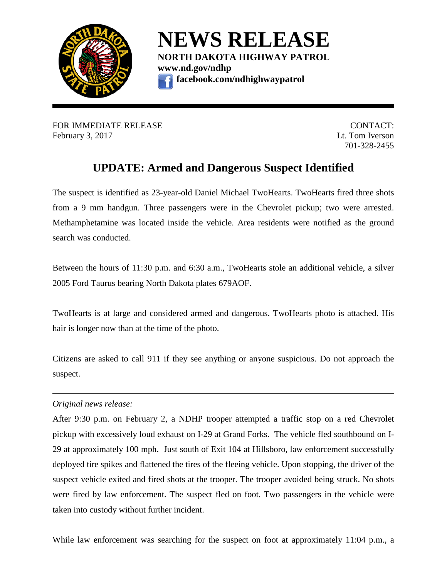

**NEWS RELEASE NORTH DAKOTA HIGHWAY PATROL [www.nd.gov/ndhp](http://www.nd.gov/ndhp) facebook.com/ndhighwaypatrol**

FOR IMMEDIATE RELEASE **SECURE 2006** CONTACT: February 3, 2017 Lt. Tom Iverson

701-328-2455

## **UPDATE: Armed and Dangerous Suspect Identified**

The suspect is identified as 23-year-old Daniel Michael TwoHearts. TwoHearts fired three shots from a 9 mm handgun. Three passengers were in the Chevrolet pickup; two were arrested. Methamphetamine was located inside the vehicle. Area residents were notified as the ground search was conducted.

Between the hours of 11:30 p.m. and 6:30 a.m., TwoHearts stole an additional vehicle, a silver 2005 Ford Taurus bearing North Dakota plates 679AOF.

TwoHearts is at large and considered armed and dangerous. TwoHearts photo is attached. His hair is longer now than at the time of the photo.

Citizens are asked to call 911 if they see anything or anyone suspicious. Do not approach the suspect.

## *Original news release:*

After 9:30 p.m. on February 2, a NDHP trooper attempted a traffic stop on a red Chevrolet pickup with excessively loud exhaust on I-29 at Grand Forks. The vehicle fled southbound on I-29 at approximately 100 mph. Just south of Exit 104 at Hillsboro, law enforcement successfully deployed tire spikes and flattened the tires of the fleeing vehicle. Upon stopping, the driver of the suspect vehicle exited and fired shots at the trooper. The trooper avoided being struck. No shots were fired by law enforcement. The suspect fled on foot. Two passengers in the vehicle were taken into custody without further incident.

While law enforcement was searching for the suspect on foot at approximately 11:04 p.m., a